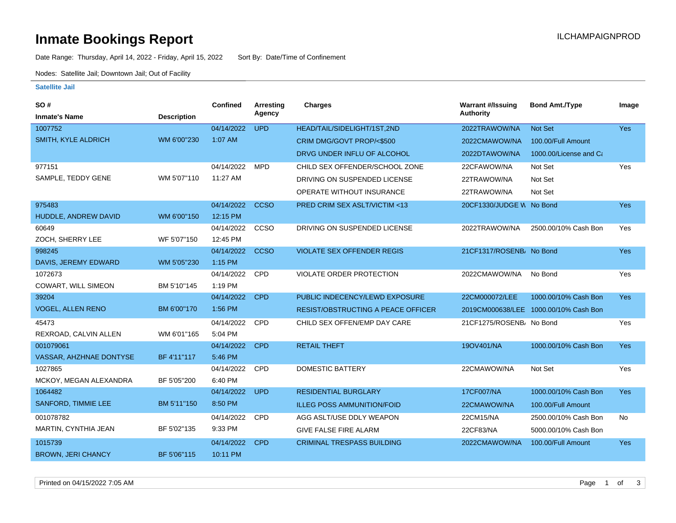# **Inmate Bookings Report Inmate Bookings Report**

Date Range: Thursday, April 14, 2022 - Friday, April 15, 2022 Sort By: Date/Time of Confinement

Nodes: Satellite Jail; Downtown Jail; Out of Facility

#### **Satellite Jail**

| <b>SO#</b>                 |                    | Confined   | Arresting   | <b>Charges</b>                            | <b>Warrant #/Issuing</b> | <b>Bond Amt./Type</b>                 | Image      |
|----------------------------|--------------------|------------|-------------|-------------------------------------------|--------------------------|---------------------------------------|------------|
| <b>Inmate's Name</b>       | <b>Description</b> |            | Agency      |                                           | <b>Authority</b>         |                                       |            |
| 1007752                    |                    | 04/14/2022 | <b>UPD</b>  | HEAD/TAIL/SIDELIGHT/1ST,2ND               | 2022TRAWOW/NA            | <b>Not Set</b>                        | <b>Yes</b> |
| SMITH, KYLE ALDRICH        | WM 6'00"230        | 1:07 AM    |             | CRIM DMG/GOVT PROP/<\$500                 | 2022CMAWOW/NA            | 100.00/Full Amount                    |            |
|                            |                    |            |             | DRVG UNDER INFLU OF ALCOHOL               | 2022DTAWOW/NA            | 1000.00/License and Ca                |            |
| 977151                     |                    | 04/14/2022 | <b>MPD</b>  | CHILD SEX OFFENDER/SCHOOL ZONE            | 22CFAWOW/NA              | Not Set                               | Yes        |
| SAMPLE, TEDDY GENE         | WM 5'07"110        | 11:27 AM   |             | DRIVING ON SUSPENDED LICENSE              | 22TRAWOW/NA              | Not Set                               |            |
|                            |                    |            |             | <b>OPERATE WITHOUT INSURANCE</b>          | 22TRAWOW/NA              | Not Set                               |            |
| 975483                     |                    | 04/14/2022 | <b>CCSO</b> | PRED CRIM SEX ASLT/VICTIM <13             | 20CF1330/JUDGE W No Bond |                                       | <b>Yes</b> |
| HUDDLE, ANDREW DAVID       | WM 6'00"150        | 12:15 PM   |             |                                           |                          |                                       |            |
| 60649                      |                    | 04/14/2022 | CCSO        | DRIVING ON SUSPENDED LICENSE              | 2022TRAWOW/NA            | 2500.00/10% Cash Bon                  | Yes        |
| ZOCH, SHERRY LEE           | WF 5'07"150        | 12:45 PM   |             |                                           |                          |                                       |            |
| 998245                     |                    | 04/14/2022 | <b>CCSO</b> | <b>VIOLATE SEX OFFENDER REGIS</b>         | 21CF1317/ROSENB/ No Bond |                                       | <b>Yes</b> |
| DAVIS, JEREMY EDWARD       | WM 5'05"230        | 1:15 PM    |             |                                           |                          |                                       |            |
| 1072673                    |                    | 04/14/2022 | CPD         | VIOLATE ORDER PROTECTION                  | 2022CMAWOW/NA            | No Bond                               | Yes        |
| <b>COWART, WILL SIMEON</b> | BM 5'10"145        | 1:19 PM    |             |                                           |                          |                                       |            |
| 39204                      |                    | 04/14/2022 | <b>CPD</b>  | PUBLIC INDECENCY/LEWD EXPOSURE            | 22CM000072/LEE           | 1000.00/10% Cash Bon                  | <b>Yes</b> |
| <b>VOGEL, ALLEN RENO</b>   | BM 6'00"170        | 1:56 PM    |             | <b>RESIST/OBSTRUCTING A PEACE OFFICER</b> |                          | 2019CM000638/LEE 1000.00/10% Cash Bon |            |
| 45473                      |                    | 04/14/2022 | CPD         | CHILD SEX OFFEN/EMP DAY CARE              | 21CF1275/ROSENB/ No Bond |                                       | Yes        |
| REXROAD, CALVIN ALLEN      | WM 6'01"165        | 5:04 PM    |             |                                           |                          |                                       |            |
| 001079061                  |                    | 04/14/2022 | <b>CPD</b>  | <b>RETAIL THEFT</b>                       | 190V401/NA               | 1000.00/10% Cash Bon                  | <b>Yes</b> |
| VASSAR, AHZHNAE DONTYSE    | BF 4'11"117        | 5:46 PM    |             |                                           |                          |                                       |            |
| 1027865                    |                    | 04/14/2022 | <b>CPD</b>  | <b>DOMESTIC BATTERY</b>                   | 22CMAWOW/NA              | Not Set                               | Yes        |
| MCKOY, MEGAN ALEXANDRA     | BF 5'05"200        | 6:40 PM    |             |                                           |                          |                                       |            |
| 1064482                    |                    | 04/14/2022 | <b>UPD</b>  | <b>RESIDENTIAL BURGLARY</b>               | <b>17CF007/NA</b>        | 1000.00/10% Cash Bon                  | <b>Yes</b> |
| <b>SANFORD, TIMMIE LEE</b> | BM 5'11"150        | 8:50 PM    |             | <b>ILLEG POSS AMMUNITION/FOID</b>         | 22CMAWOW/NA              | 100.00/Full Amount                    |            |
| 001078782                  |                    | 04/14/2022 | <b>CPD</b>  | AGG ASLT/USE DDLY WEAPON                  | 22CM15/NA                | 2500.00/10% Cash Bon                  | No         |
| MARTIN, CYNTHIA JEAN       | BF 5'02"135        | 9:33 PM    |             | <b>GIVE FALSE FIRE ALARM</b>              | 22CF83/NA                | 5000.00/10% Cash Bon                  |            |
| 1015739                    |                    | 04/14/2022 | <b>CPD</b>  | <b>CRIMINAL TRESPASS BUILDING</b>         | 2022CMAWOW/NA            | 100.00/Full Amount                    | <b>Yes</b> |
| <b>BROWN, JERI CHANCY</b>  | BF 5'06"115        | 10:11 PM   |             |                                           |                          |                                       |            |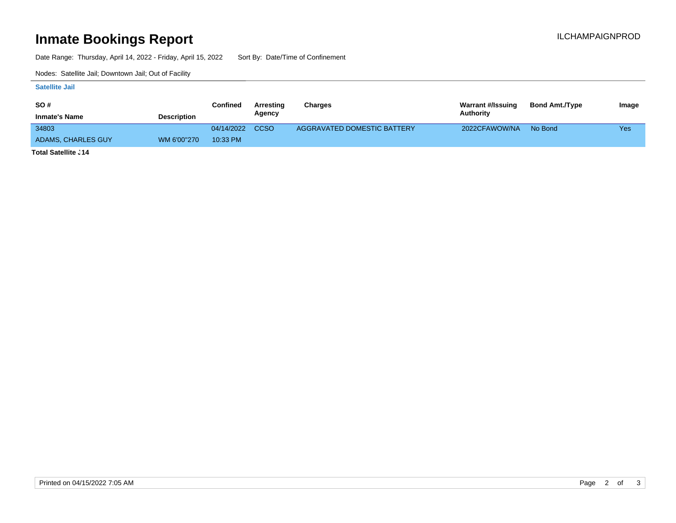# **Inmate Bookings Report Inmate Bookings Report**

Date Range: Thursday, April 14, 2022 - Friday, April 15, 2022 Sort By: Date/Time of Confinement

Nodes: Satellite Jail; Downtown Jail; Out of Facility

### **Satellite Jail**

| <b>SO#</b>           |                    | Confined        | Arresting | Charges                     | <b>Warrant #/Issuing</b> | <b>Bond Amt./Type</b> | Image |
|----------------------|--------------------|-----------------|-----------|-----------------------------|--------------------------|-----------------------|-------|
| <b>Inmate's Name</b> | <b>Description</b> |                 | Agency    |                             | Authority                |                       |       |
| 34803                |                    | 04/14/2022 CCSO |           | AGGRAVATED DOMESTIC BATTERY | 2022CFAWOW/NA            | No Bond               | Yes   |
| ADAMS, CHARLES GUY   | WM 6'00"270        | 10:33 PM        |           |                             |                          |                       |       |
| $T = 1 - 1$          |                    |                 |           |                             |                          |                       |       |

**Total Satellite Jail: 14**